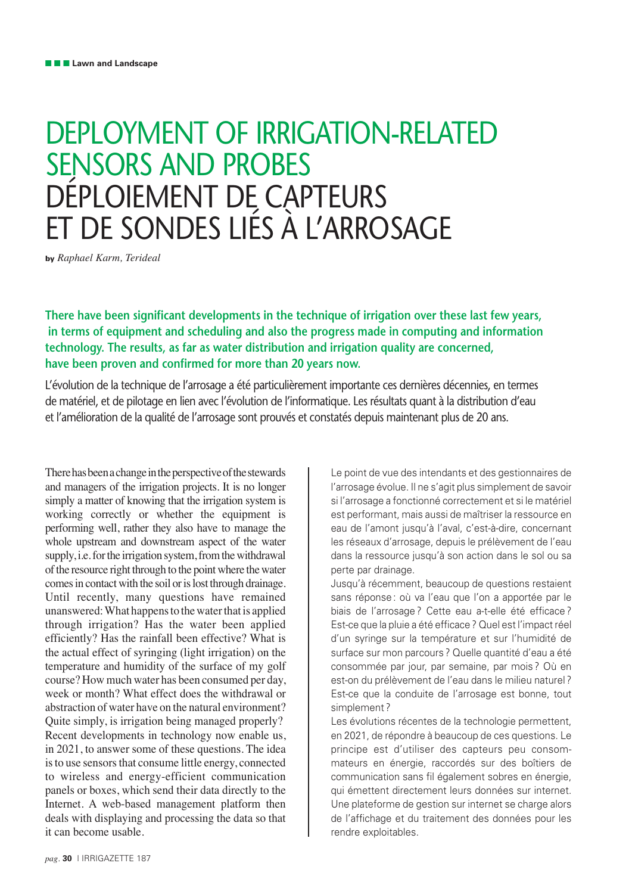# DEPLOYMENT OF IRRIGATION-RELATED SENSORS AND PROBES DÉPLOIEMENT DE CAPTEURS ET DE SONDES LIÉS À L'ARROSAGE

**by** *Raphael Karm, Terideal* 

**There have been significant developments in the technique of irrigation over these last few years, in terms of equipment and scheduling and also the progress made in computing and information technology. The results, as far as water distribution and irrigation quality are concerned, have been proven and confirmed for more than 20 years now.**

L'évolution de la technique de l'arrosage a été particulièrement importante ces dernières décennies, en termes de matériel, et de pilotage en lien avec l'évolution de l'informatique. Les résultats quant à la distribution d'eau et l'amélioration de la qualité de l'arrosage sont prouvés et constatés depuis maintenant plus de 20 ans.

There has been a change in the perspective of the stewards and managers of the irrigation projects. It is no longer simply a matter of knowing that the irrigation system is working correctly or whether the equipment is performing well, rather they also have to manage the whole upstream and downstream aspect of the water supply, i.e. for the irrigation system, from the withdrawal of the resource right through to the point where the water comes in contact with the soil or is lost through drainage. Until recently, many questions have remained unanswered: What happens to the water that is applied through irrigation? Has the water been applied efficiently? Has the rainfall been effective? What is the actual effect of syringing (light irrigation) on the temperature and humidity of the surface of my golf course? How much water has been consumed per day, week or month? What effect does the withdrawal or abstraction of water have on the natural environment? Quite simply, is irrigation being managed properly? Recent developments in technology now enable us, in 2021, to answer some of these questions. The idea is to use sensors that consume little energy, connected to wireless and energy-efficient communication panels or boxes, which send their data directly to the Internet. A web-based management platform then deals with displaying and processing the data so that it can become usable.

Le point de vue des intendants et des gestionnaires de l'arrosage évolue. Il ne s'agit plus simplement de savoir si l'arrosage a fonctionné correctement et si le matériel est performant, mais aussi de maîtriser la ressource en eau de l'amont jusqu'à l'aval, c'est-à-dire, concernant les réseaux d'arrosage, depuis le prélèvement de l'eau dans la ressource jusqu'à son action dans le sol ou sa perte par drainage.

Jusqu'à récemment, beaucoup de questions restaient sans réponse : où va l'eau que l'on a apportée par le biais de l'arrosage ? Cette eau a-t-elle été efficace ? Est-ce que la pluie a été efficace ? Quel est l'impact réel d'un syringe sur la température et sur l'humidité de surface sur mon parcours ? Quelle quantité d'eau a été consommée par jour, par semaine, par mois ? Où en est-on du prélèvement de l'eau dans le milieu naturel ? Est-ce que la conduite de l'arrosage est bonne, tout simplement ?

Les évolutions récentes de la technologie permettent, en 2021, de répondre à beaucoup de ces questions. Le principe est d'utiliser des capteurs peu consommateurs en énergie, raccordés sur des boîtiers de communication sans fil également sobres en énergie, qui émettent directement leurs données sur internet. Une plateforme de gestion sur internet se charge alors de l'affichage et du traitement des données pour les rendre exploitables.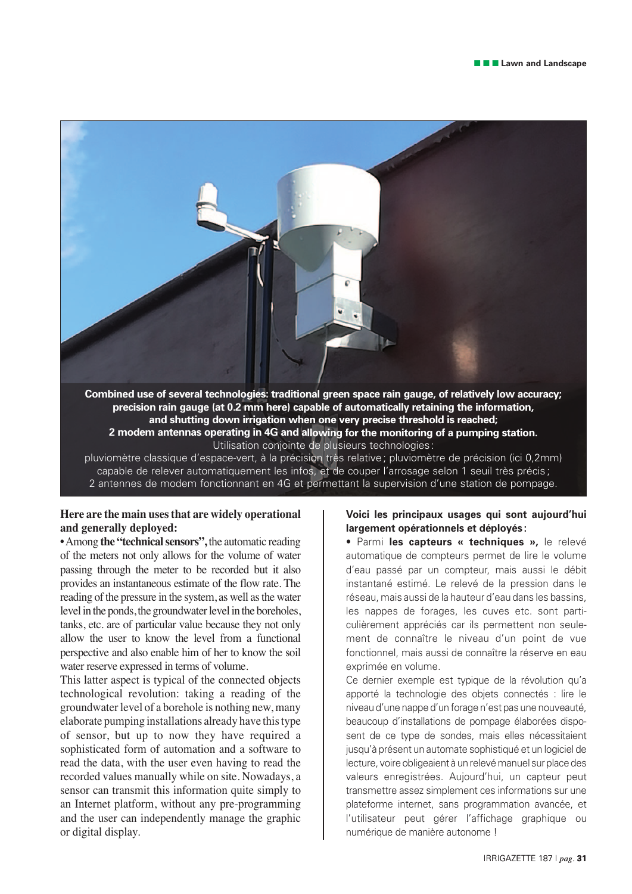

**precision rain gauge (at 0.2 mm here) capable of automatically retaining the information, and shutting down irrigation when one very precise threshold is reached; 2 modem antennas operating in 4G and allowing for the monitoring of a pumping station.**  Utilisation conjointe de plusieurs technologies :

pluviomètre classique d'espace-vert, à la précision très relative ; pluviomètre de précision (ici 0,2mm) capable de relever automatiquement les infos, et de couper l'arrosage selon 1 seuil très précis; 2 antennes de modem fonctionnant en 4G et permettant la supervision d'une station de pompage.

## **Here are the main uses that are widely operational and generally deployed:**

• Among **the "technical sensors",** the automatic reading of the meters not only allows for the volume of water passing through the meter to be recorded but it also provides an instantaneous estimate of the flow rate. The reading of the pressure in the system, as well as the water level in the ponds, the groundwater level in the boreholes, tanks, etc. are of particular value because they not only allow the user to know the level from a functional perspective and also enable him of her to know the soil water reserve expressed in terms of volume.

This latter aspect is typical of the connected objects technological revolution: taking a reading of the groundwater level of a borehole is nothing new, many elaborate pumping installations already have this type of sensor, but up to now they have required a sophisticated form of automation and a software to read the data, with the user even having to read the recorded values manually while on site. Nowadays, a sensor can transmit this information quite simply to an Internet platform, without any pre-programming and the user can independently manage the graphic or digital display.

#### **Voici les principaux usages qui sont aujourd'hui largement opérationnels et déployés :**

• Parmi **les capteurs « techniques »,** le relevé automatique de compteurs permet de lire le volume d'eau passé par un compteur, mais aussi le débit instantané estimé. Le relevé de la pression dans le réseau, mais aussi de la hauteur d'eau dans les bassins, les nappes de forages, les cuves etc. sont particulièrement appréciés car ils permettent non seulement de connaître le niveau d'un point de vue fonctionnel, mais aussi de connaître la réserve en eau exprimée en volume.

Ce dernier exemple est typique de la révolution qu'a apporté la technologie des objets connectés : lire le niveau d'une nappe d'un forage n'est pas une nouveauté, beaucoup d'installations de pompage élaborées disposent de ce type de sondes, mais elles nécessitaient jusqu'à présent un automate sophistiqué et un logiciel de lecture, voire obligeaient à un relevé manuel sur place des valeurs enregistrées. Aujourd'hui, un capteur peut transmettre assez simplement ces informations sur une plateforme internet, sans programmation avancée, et l'utilisateur peut gérer l'affichage graphique ou numérique de manière autonome !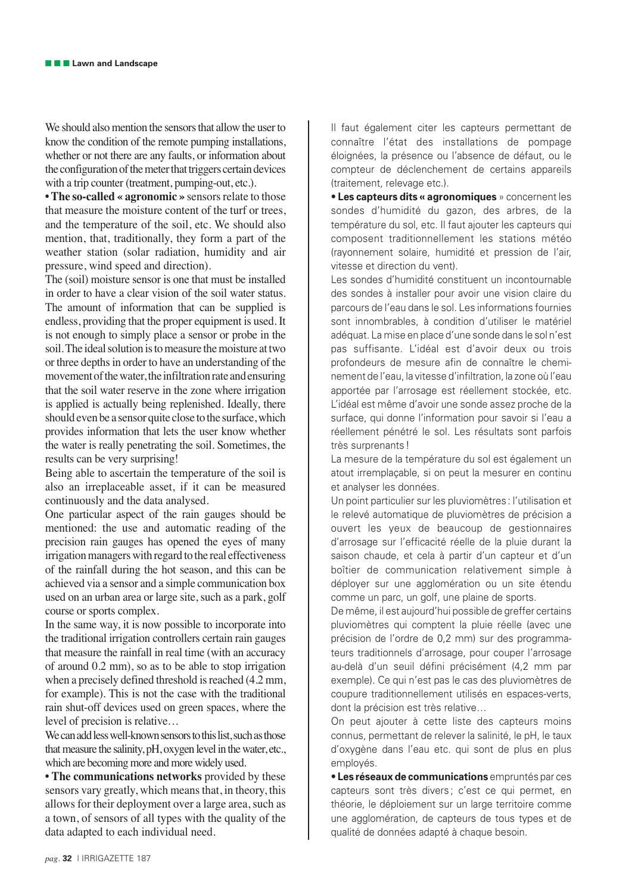We should also mention the sensors that allow the user to know the condition of the remote pumping installations, whether or not there are any faults, or information about the configuration of the meter that triggers certain devices with a trip counter (treatment, pumping-out, etc.).

**• The so-called « agronomic »** sensors relate to those that measure the moisture content of the turf or trees, and the temperature of the soil, etc. We should also mention, that, traditionally, they form a part of the weather station (solar radiation, humidity and air pressure, wind speed and direction).

The (soil) moisture sensor is one that must be installed in order to have a clear vision of the soil water status. The amount of information that can be supplied is endless, providing that the proper equipment is used. It is not enough to simply place a sensor or probe in the soil. The ideal solution is to measure the moisture at two or three depths in order to have an understanding of the movement of the water, the infiltration rate and ensuring that the soil water reserve in the zone where irrigation is applied is actually being replenished. Ideally, there should even be a sensor quite close to the surface, which provides information that lets the user know whether the water is really penetrating the soil. Sometimes, the results can be very surprising!

Being able to ascertain the temperature of the soil is also an irreplaceable asset, if it can be measured continuously and the data analysed.

One particular aspect of the rain gauges should be mentioned: the use and automatic reading of the precision rain gauges has opened the eyes of many irrigation managers with regard to the real effectiveness of the rainfall during the hot season, and this can be achieved via a sensor and a simple communication box used on an urban area or large site, such as a park, golf course or sports complex.

In the same way, it is now possible to incorporate into the traditional irrigation controllers certain rain gauges that measure the rainfall in real time (with an accuracy of around 0.2 mm), so as to be able to stop irrigation when a precisely defined threshold is reached (4.2 mm, for example). This is not the case with the traditional rain shut-off devices used on green spaces, where the level of precision is relative…

We can add less well-known sensors to this list, such as those that measure the salinity, pH, oxygen level in the water, etc., which are becoming more and more widely used.

**• The communications networks** provided by these sensors vary greatly, which means that, in theory, this allows for their deployment over a large area, such as a town, of sensors of all types with the quality of the data adapted to each individual need.

Il faut également citer les capteurs permettant de connaître l'état des installations de pompage éloignées, la présence ou l'absence de défaut, ou le compteur de déclenchement de certains appareils (traitement, relevage etc.).

• **Les capteurs dits « agronomiques** » concernent les sondes d'humidité du gazon, des arbres, de la température du sol, etc. Il faut ajouter les capteurs qui composent traditionnellement les stations météo (rayonnement solaire, humidité et pression de l'air, vitesse et direction du vent).

Les sondes d'humidité constituent un incontournable des sondes à installer pour avoir une vision claire du parcours de l'eau dans le sol. Les informations fournies sont innombrables, à condition d'utiliser le matériel adéquat. La mise en place d'une sonde dans le sol n'est pas suffisante. L'idéal est d'avoir deux ou trois profondeurs de mesure afin de connaître le cheminement de l'eau, la vitesse d'infiltration, la zone où l'eau apportée par l'arrosage est réellement stockée, etc. L'idéal est même d'avoir une sonde assez proche de la surface, qui donne l'information pour savoir si l'eau a réellement pénétré le sol. Les résultats sont parfois très surprenants !

La mesure de la température du sol est également un atout irremplaçable, si on peut la mesurer en continu et analyser les données.

Un point particulier sur les pluviomètres : l'utilisation et le relevé automatique de pluviomètres de précision a ouvert les yeux de beaucoup de gestionnaires d'arrosage sur l'efficacité réelle de la pluie durant la saison chaude, et cela à partir d'un capteur et d'un boîtier de communication relativement simple à déployer sur une agglomération ou un site étendu comme un parc, un golf, une plaine de sports.

De même, il est aujourd'hui possible de greffer certains pluviomètres qui comptent la pluie réelle (avec une précision de l'ordre de 0,2 mm) sur des programmateurs traditionnels d'arrosage, pour couper l'arrosage au-delà d'un seuil défini précisément (4,2 mm par exemple). Ce qui n'est pas le cas des pluviomètres de coupure traditionnellement utilisés en espaces-verts, dont la précision est très relative…

On peut ajouter à cette liste des capteurs moins connus, permettant de relever la salinité, le pH, le taux d'oxygène dans l'eau etc. qui sont de plus en plus employés.

• **Les réseaux de communications** empruntés par ces capteurs sont très divers; c'est ce qui permet, en théorie, le déploiement sur un large territoire comme une agglomération, de capteurs de tous types et de qualité de données adapté à chaque besoin.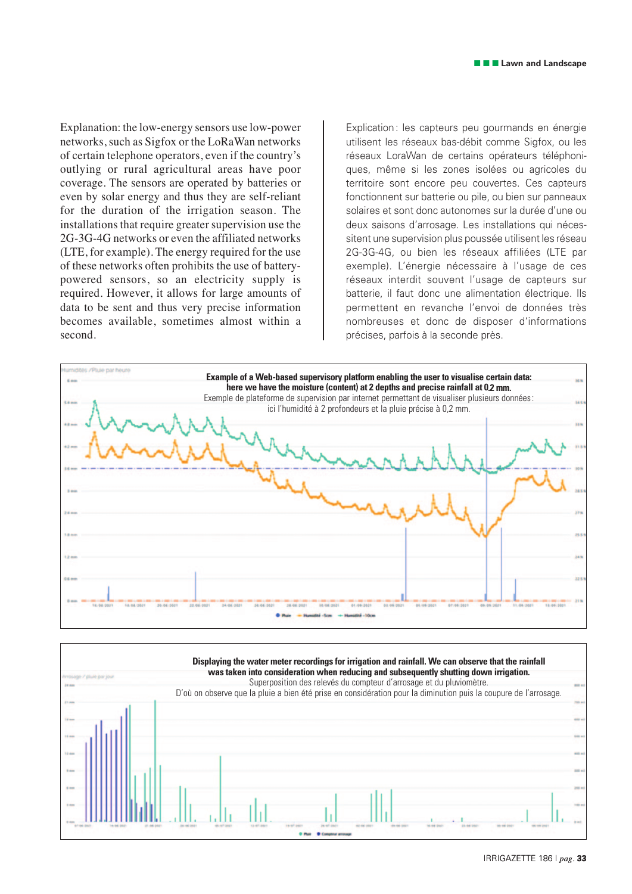Explanation: the low-energy sensors use low-power networks, such as Sigfox or the LoRaWan networks of certain telephone operators, even if the country's outlying or rural agricultural areas have poor coverage. The sensors are operated by batteries or even by solar energy and thus they are self-reliant for the duration of the irrigation season. The installations that require greater supervision use the 2G-3G-4G networks or even the affiliated networks (LTE, for example). The energy required for the use of these networks often prohibits the use of batterypowered sensors, so an electricity supply is required. However, it allows for large amounts of data to be sent and thus very precise information becomes available, sometimes almost within a second.

Explication : les capteurs peu gourmands en énergie utilisent les réseaux bas-débit comme Sigfox, ou les réseaux LoraWan de certains opérateurs téléphoniques, même si les zones isolées ou agricoles du territoire sont encore peu couvertes. Ces capteurs fonctionnent sur batterie ou pile, ou bien sur panneaux solaires et sont donc autonomes sur la durée d'une ou deux saisons d'arrosage. Les installations qui nécessitent une supervision plus poussée utilisent les réseau 2G-3G-4G, ou bien les réseaux affiliées (LTE par exemple). L'énergie nécessaire à l'usage de ces réseaux interdit souvent l'usage de capteurs sur batterie, il faut donc une alimentation électrique. Ils permettent en revanche l'envoi de données très nombreuses et donc de disposer d'informations précises, parfois à la seconde près.



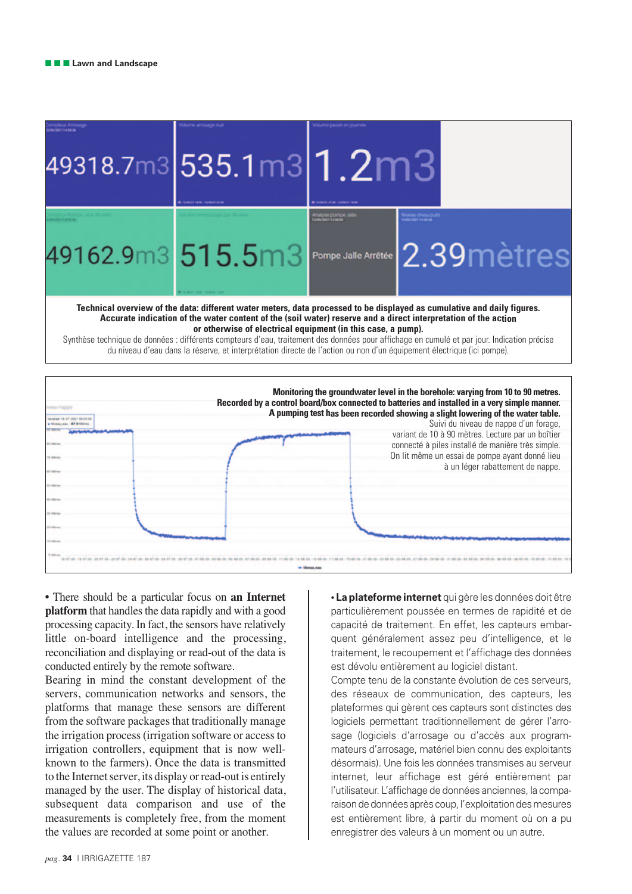|                                                                                                                                                                                                                                                                                                                                                                                                                                                                                                                                                                                   | 49318.7m3 535.1m3 1.2m3<br><b>COMO GALLANT</b> |                                                              |                                                                                                                                                                                                                                                                                                                                                                                                                                                                                                             |
|-----------------------------------------------------------------------------------------------------------------------------------------------------------------------------------------------------------------------------------------------------------------------------------------------------------------------------------------------------------------------------------------------------------------------------------------------------------------------------------------------------------------------------------------------------------------------------------|------------------------------------------------|--------------------------------------------------------------|-------------------------------------------------------------------------------------------------------------------------------------------------------------------------------------------------------------------------------------------------------------------------------------------------------------------------------------------------------------------------------------------------------------------------------------------------------------------------------------------------------------|
|                                                                                                                                                                                                                                                                                                                                                                                                                                                                                                                                                                                   | 49162.9m3 515.5m3                              | <b><i><u>My can pour pour</u></i></b><br>Pompe Jalle Arrêtée | veau d'eau puit<br>Notes la seba<br>2.39 mètres                                                                                                                                                                                                                                                                                                                                                                                                                                                             |
| Technical overview of the data: different water meters, data processed to be displayed as cumulative and daily figures.<br>Accurate indication of the water content of the (soil water) reserve and a direct interpretation of the action<br>or otherwise of electrical equipment (in this case, a pump).<br>Synthèse technique de données : différents compteurs d'eau, traitement des données pour affichage en cumulé et par jour. Indication précise<br>du niveau d'eau dans la réserve, et interprétation directe de l'action ou non d'un équipement électrique (ici pompe). |                                                |                                                              |                                                                                                                                                                                                                                                                                                                                                                                                                                                                                                             |
|                                                                                                                                                                                                                                                                                                                                                                                                                                                                                                                                                                                   |                                                |                                                              | Monitoring the groundwater level in the borehole: varying from 10 to 90 metres.<br>Recorded by a control board/box connected to batteries and installed in a very simple manner.<br>A pumping test has been recorded showing a slight lowering of the water table.<br>Suivi du niveau de nappe d'un forage,<br>variant de 10 à 90 mètres. Lecture par un boîtier<br>connecté à piles installé de manière très simple.<br>On lit même un essai de pompe ayant donné lieu<br>à un léger rabattement de nappe. |

an Marina and

• There should be a particular focus on **an Internet platform** that handles the data rapidly and with a good processing capacity. In fact, the sensors have relatively little on-board intelligence and the processing, reconciliation and displaying or read-out of the data is conducted entirely by the remote software.

Bearing in mind the constant development of the servers, communication networks and sensors, the platforms that manage these sensors are different from the software packages that traditionally manage the irrigation process (irrigation software or access to irrigation controllers, equipment that is now wellknown to the farmers). Once the data is transmitted to the Internet server, its display or read-out is entirely managed by the user. The display of historical data, subsequent data comparison and use of the measurements is completely free, from the moment the values are recorded at some point or another.

**• La plateforme internet** qui gère les données doit être particulièrement poussée en termes de rapidité et de capacité de traitement. En effet, les capteurs embarquent généralement assez peu d'intelligence, et le traitement, le recoupement et l'affichage des données est dévolu entièrement au logiciel distant.

Compte tenu de la constante évolution de ces serveurs, des réseaux de communication, des capteurs, les plateformes qui gèrent ces capteurs sont distinctes des logiciels permettant traditionnellement de gérer l'arrosage (logiciels d'arrosage ou d'accès aux programmateurs d'arrosage, matériel bien connu des exploitants désormais). Une fois les données transmises au serveur internet, leur affichage est géré entièrement par l'utilisateur. L'affichage de données anciennes, la comparaison de données après coup, l'exploitation des mesures est entièrement libre, à partir du moment où on a pu enregistrer des valeurs à un moment ou un autre.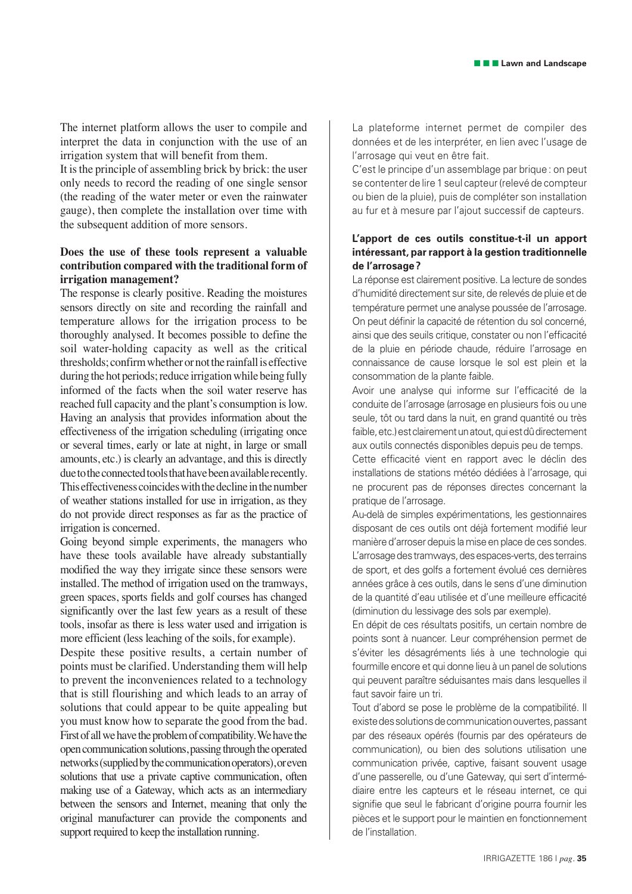The internet platform allows the user to compile and interpret the data in conjunction with the use of an irrigation system that will benefit from them.

It is the principle of assembling brick by brick: the user only needs to record the reading of one single sensor (the reading of the water meter or even the rainwater gauge), then complete the installation over time with the subsequent addition of more sensors.

### **Does the use of these tools represent a valuable contribution compared with the traditional form of irrigation management?**

The response is clearly positive. Reading the moistures sensors directly on site and recording the rainfall and temperature allows for the irrigation process to be thoroughly analysed. It becomes possible to define the soil water-holding capacity as well as the critical thresholds; confirm whether or not the rainfall is effective during the hot periods; reduce irrigation while being fully informed of the facts when the soil water reserve has reached full capacity and the plant's consumption is low. Having an analysis that provides information about the effectiveness of the irrigation scheduling (irrigating once or several times, early or late at night, in large or small amounts, etc.) is clearly an advantage, and this is directly due to the connected tools that have been available recently. This effectiveness coincides with the decline in the number of weather stations installed for use in irrigation, as they do not provide direct responses as far as the practice of irrigation is concerned.

Going beyond simple experiments, the managers who have these tools available have already substantially modified the way they irrigate since these sensors were installed. The method of irrigation used on the tramways, green spaces, sports fields and golf courses has changed significantly over the last few years as a result of these tools, insofar as there is less water used and irrigation is more efficient (less leaching of the soils, for example).

Despite these positive results, a certain number of points must be clarified. Understanding them will help to prevent the inconveniences related to a technology that is still flourishing and which leads to an array of solutions that could appear to be quite appealing but you must know how to separate the good from the bad. First of all we have the problem of compatibility. We have the open communication solutions, passing through the operated networks (supplied by the communication operators), or even solutions that use a private captive communication, often making use of a Gateway, which acts as an intermediary between the sensors and Internet, meaning that only the original manufacturer can provide the components and support required to keep the installation running.

La plateforme internet permet de compiler des données et de les interpréter, en lien avec l'usage de l'arrosage qui veut en être fait.

C'est le principe d'un assemblage par brique : on peut se contenter de lire 1 seul capteur (relevé de compteur ou bien de la pluie), puis de compléter son installation au fur et à mesure par l'ajout successif de capteurs.

#### **L'apport de ces outils constitue-t-il un apport intéressant, par rapport à la gestion traditionnelle de l'arrosage ?**

La réponse est clairement positive. La lecture de sondes d'humidité directement sur site, de relevés de pluie et de température permet une analyse poussée de l'arrosage. On peut définir la capacité de rétention du sol concerné, ainsi que des seuils critique, constater ou non l'efficacité de la pluie en période chaude, réduire l'arrosage en connaissance de cause lorsque le sol est plein et la consommation de la plante faible.

Avoir une analyse qui informe sur l'efficacité de la conduite de l'arrosage (arrosage en plusieurs fois ou une seule, tôt ou tard dans la nuit, en grand quantité ou très faible, etc.) est clairement un atout, qui est dû directement aux outils connectés disponibles depuis peu de temps.

Cette efficacité vient en rapport avec le déclin des installations de stations météo dédiées à l'arrosage, qui ne procurent pas de réponses directes concernant la pratique de l'arrosage.

Au-delà de simples expérimentations, les gestionnaires disposant de ces outils ont déjà fortement modifié leur manière d'arroser depuis la mise en place de ces sondes. L'arrosage des tramways, des espaces-verts, des terrains de sport, et des golfs a fortement évolué ces dernières années grâce à ces outils, dans le sens d'une diminution de la quantité d'eau utilisée et d'une meilleure efficacité (diminution du lessivage des sols par exemple).

En dépit de ces résultats positifs, un certain nombre de points sont à nuancer. Leur compréhension permet de s'éviter les désagréments liés à une technologie qui fourmille encore et qui donne lieu à un panel de solutions qui peuvent paraître séduisantes mais dans lesquelles il faut savoir faire un tri.

Tout d'abord se pose le problème de la compatibilité. Il existe des solutions de communication ouvertes, passant par des réseaux opérés (fournis par des opérateurs de communication), ou bien des solutions utilisation une communication privée, captive, faisant souvent usage d'une passerelle, ou d'une Gateway, qui sert d'intermédiaire entre les capteurs et le réseau internet, ce qui signifie que seul le fabricant d'origine pourra fournir les pièces et le support pour le maintien en fonctionnement de l'installation.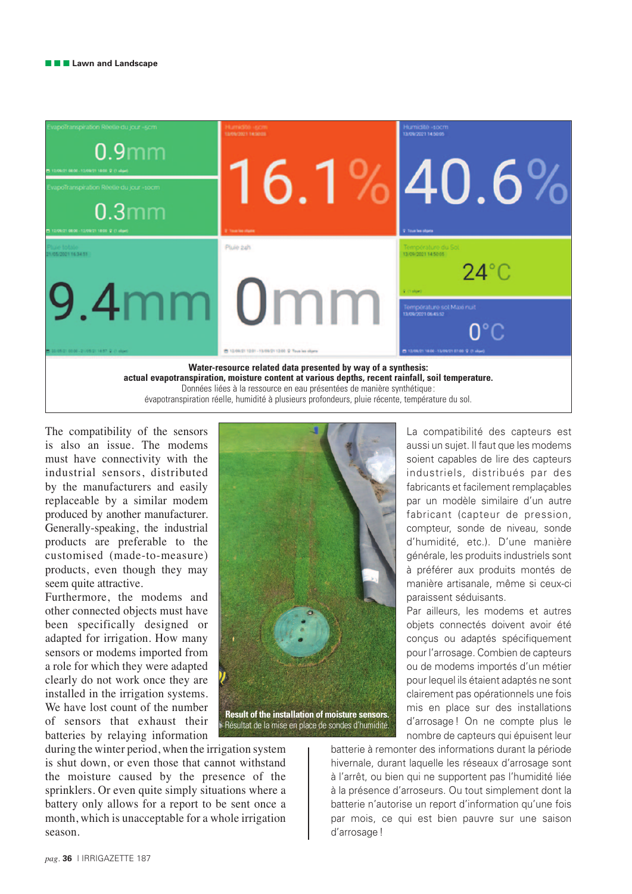

The compatibility of the sensors is also an issue. The modems must have connectivity with the industrial sensors, distributed by the manufacturers and easily replaceable by a similar modem produced by another manufacturer. Generally-speaking, the industrial products are preferable to the customised (made-to-measure) products, even though they may seem quite attractive.

Furthermore, the modems and other connected objects must have been specifically designed or adapted for irrigation. How many sensors or modems imported from a role for which they were adapted clearly do not work once they are installed in the irrigation systems. We have lost count of the number of sensors that exhaust their batteries by relaying information

during the winter period, when the irrigation system is shut down, or even those that cannot withstand the moisture caused by the presence of the sprinklers. Or even quite simply situations where a battery only allows for a report to be sent once a month, which is unacceptable for a whole irrigation season.



La compatibilité des capteurs est aussi un sujet. Il faut que les modems soient capables de lire des capteurs industriels, distribués par des fabricants et facilement remplaçables par un modèle similaire d'un autre fabricant (capteur de pression, compteur, sonde de niveau, sonde d'humidité, etc.). D'une manière générale, les produits industriels sont à préférer aux produits montés de manière artisanale, même si ceux-ci paraissent séduisants.

Par ailleurs, les modems et autres objets connectés doivent avoir été conçus ou adaptés spécifiquement pour l'arrosage. Combien de capteurs ou de modems importés d'un métier pour lequel ils étaient adaptés ne sont clairement pas opérationnels une fois mis en place sur des installations d'arrosage ! On ne compte plus le nombre de capteurs qui épuisent leur

batterie à remonter des informations durant la période hivernale, durant laquelle les réseaux d'arrosage sont à l'arrêt, ou bien qui ne supportent pas l'humidité liée à la présence d'arroseurs. Ou tout simplement dont la batterie n'autorise un report d'information qu'une fois par mois, ce qui est bien pauvre sur une saison d'arrosage !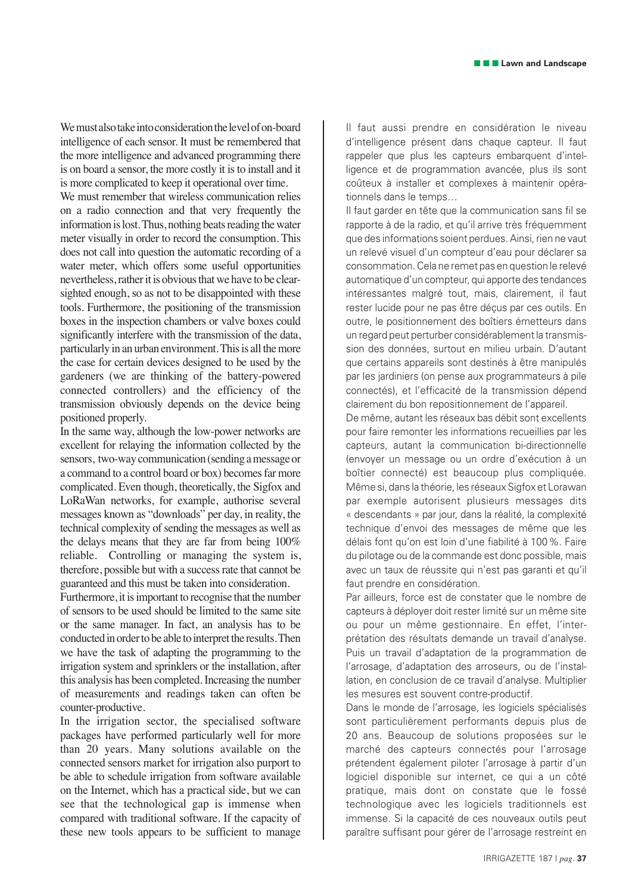We must also take into consideration the level of on-board intelligence of each sensor. It must be remembered that the more intelligence and advanced programming there is on board a sensor, the more costly it is to install and it is more complicated to keep it operational over time.

We must remember that wireless communication relies on a radio connection and that very frequently the information is lost. Thus, nothing beats reading the water meter visually in order to record the consumption. This does not call into question the automatic recording of a water meter, which offers some useful opportunities nevertheless, rather it is obvious that we have to be clearsighted enough, so as not to be disappointed with these tools. Furthermore, the positioning of the transmission boxes in the inspection chambers or valve boxes could significantly interfere with the transmission of the data, particularly in an urban environment. This is all the more the case for certain devices designed to be used by the gardeners (we are thinking of the battery-powered connected controllers) and the efficiency of the transmission obviously depends on the device being positioned properly.

In the same way, although the low-power networks are excellent for relaying the information collected by the sensors, two-way communication (sending a message or a command to a control board or box) becomes far more complicated. Even though, theoretically, the Sigfox and LoRaWan networks, for example, authorise several messages known as "downloads" per day, in reality, the technical complexity of sending the messages as well as the delays means that they are far from being 100% reliable. Controlling or managing the system is, therefore, possible but with a success rate that cannot be guaranteed and this must be taken into consideration.

Furthermore, it is important to recognise that the number of sensors to be used should be limited to the same site or the same manager. In fact, an analysis has to be conducted in order to be able to interpret the results. Then we have the task of adapting the programming to the irrigation system and sprinklers or the installation, after this analysis has been completed. Increasing the number of measurements and readings taken can often be counter-productive.

In the irrigation sector, the specialised software packages have performed particularly well for more than 20 years. Many solutions available on the connected sensors market for irrigation also purport to be able to schedule irrigation from software available on the Internet, which has a practical side, but we can see that the technological gap is immense when compared with traditional software. If the capacity of these new tools appears to be sufficient to manage Il faut aussi prendre en considération le niveau d'intelligence présent dans chaque capteur. Il faut rappeler que plus les capteurs embarquent d'intelligence et de programmation avancée, plus ils sont coûteux à installer et complexes à maintenir opérationnels dans le temps…

Il faut garder en tête que la communication sans fil se rapporte à de la radio, et qu'il arrive très fréquemment que des informations soient perdues. Ainsi, rien ne vaut un relevé visuel d'un compteur d'eau pour déclarer sa consommation. Cela ne remet pas en question le relevé automatique d'un compteur, qui apporte des tendances intéressantes malgré tout, mais, clairement, il faut rester lucide pour ne pas être déçus par ces outils. En outre, le positionnement des boîtiers émetteurs dans un regard peut perturber considérablement la transmission des données, surtout en milieu urbain. D'autant que certains appareils sont destinés à être manipulés par les jardiniers (on pense aux programmateurs à pile connectés), et l'efficacité de la transmission dépend clairement du bon repositionnement de l'appareil.

De même, autant les réseaux bas débit sont excellents pour faire remonter les informations recueillies par les capteurs, autant la communication bi-directionnelle (envoyer un message ou un ordre d'exécution à un boîtier connecté) est beaucoup plus compliquée. Même si, dans la théorie, les réseaux Sigfox et Lorawan par exemple autorisent plusieurs messages dits « descendants » par jour, dans la réalité, la complexité technique d'envoi des messages de même que les délais font qu'on est loin d'une fiabilité à 100 %. Faire du pilotage ou de la commande est donc possible, mais avec un taux de réussite qui n'est pas garanti et qu'il faut prendre en considération.

Par ailleurs, force est de constater que le nombre de capteurs à déployer doit rester limité sur un même site ou pour un même gestionnaire. En effet, l'interprétation des résultats demande un travail d'analyse. Puis un travail d'adaptation de la programmation de l'arrosage, d'adaptation des arroseurs, ou de l'installation, en conclusion de ce travail d'analyse. Multiplier les mesures est souvent contre-productif.

Dans le monde de l'arrosage, les logiciels spécialisés sont particulièrement performants depuis plus de 20 ans. Beaucoup de solutions proposées sur le marché des capteurs connectés pour l'arrosage prétendent également piloter l'arrosage à partir d'un logiciel disponible sur internet, ce qui a un côté pratique, mais dont on constate que le fossé technologique avec les logiciels traditionnels est immense. Si la capacité de ces nouveaux outils peut paraître suffisant pour gérer de l'arrosage restreint en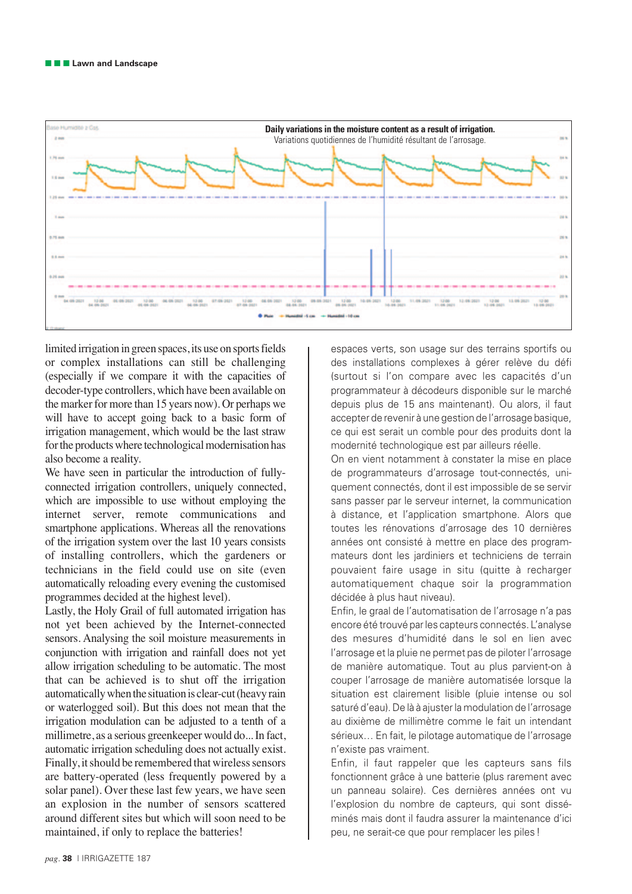

limited irrigation in green spaces, its use on sports fields or complex installations can still be challenging (especially if we compare it with the capacities of decoder-type controllers, which have been available on the marker for more than 15 years now). Or perhaps we will have to accept going back to a basic form of irrigation management, which would be the last straw for the products where technological modernisation has also become a reality.

We have seen in particular the introduction of fullyconnected irrigation controllers, uniquely connected, which are impossible to use without employing the internet server, remote communications and smartphone applications. Whereas all the renovations of the irrigation system over the last 10 years consists of installing controllers, which the gardeners or technicians in the field could use on site (even automatically reloading every evening the customised programmes decided at the highest level).

Lastly, the Holy Grail of full automated irrigation has not yet been achieved by the Internet-connected sensors. Analysing the soil moisture measurements in conjunction with irrigation and rainfall does not yet allow irrigation scheduling to be automatic. The most that can be achieved is to shut off the irrigation automatically when the situation is clear-cut (heavy rain or waterlogged soil). But this does not mean that the irrigation modulation can be adjusted to a tenth of a millimetre, as a serious greenkeeper would do... In fact, automatic irrigation scheduling does not actually exist. Finally, it should be remembered that wireless sensors are battery-operated (less frequently powered by a solar panel). Over these last few years, we have seen an explosion in the number of sensors scattered around different sites but which will soon need to be maintained, if only to replace the batteries!

espaces verts, son usage sur des terrains sportifs ou des installations complexes à gérer relève du défi (surtout si l'on compare avec les capacités d'un programmateur à décodeurs disponible sur le marché depuis plus de 15 ans maintenant). Ou alors, il faut accepter de revenir à une gestion de l'arrosage basique, ce qui est serait un comble pour des produits dont la modernité technologique est par ailleurs réelle.

On en vient notamment à constater la mise en place de programmateurs d'arrosage tout-connectés, uniquement connectés, dont il est impossible de se servir sans passer par le serveur internet, la communication à distance, et l'application smartphone. Alors que toutes les rénovations d'arrosage des 10 dernières années ont consisté à mettre en place des programmateurs dont les jardiniers et techniciens de terrain pouvaient faire usage in situ (quitte à recharger automatiquement chaque soir la programmation décidée à plus haut niveau).

Enfin, le graal de l'automatisation de l'arrosage n'a pas encore été trouvé par les capteurs connectés. L'analyse des mesures d'humidité dans le sol en lien avec l'arrosage et la pluie ne permet pas de piloter l'arrosage de manière automatique. Tout au plus parvient-on à couper l'arrosage de manière automatisée lorsque la situation est clairement lisible (pluie intense ou sol saturé d'eau). De là à ajuster la modulation de l'arrosage au dixième de millimètre comme le fait un intendant sérieux… En fait, le pilotage automatique de l'arrosage n'existe pas vraiment.

Enfin, il faut rappeler que les capteurs sans fils fonctionnent grâce à une batterie (plus rarement avec un panneau solaire). Ces dernières années ont vu l'explosion du nombre de capteurs, qui sont disséminés mais dont il faudra assurer la maintenance d'ici peu, ne serait-ce que pour remplacer les piles !